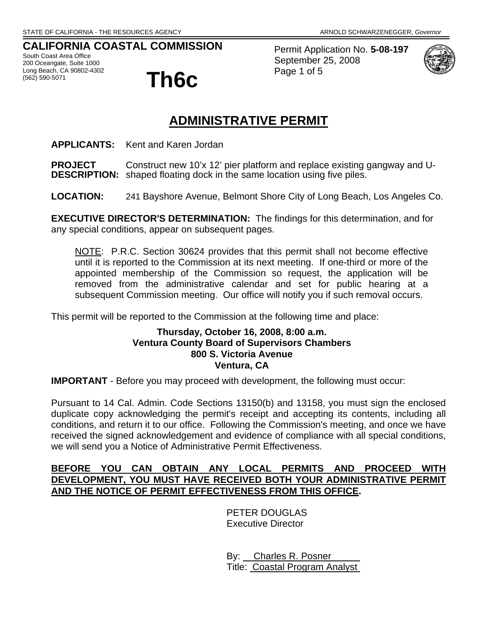# **CALIFORNIA COASTAL COMMISSION**

South Coast Area Office 200 Oceangate, Suite 1000 Long Beach, CA 90802-4302<br>(562) 590-5071



Permit Application No. **5-08-197** September 25, 2008 Page 1 of 5



# **ADMINISTRATIVE PERMIT**

**APPLICANTS:** Kent and Karen Jordan

**PROJECT** Construct new 10'x 12' pier platform and replace existing gangway and U-**DESCRIPTION:** shaped floating dock in the same location using five piles.

**LOCATION:** 241 Bayshore Avenue, Belmont Shore City of Long Beach, Los Angeles Co.

**EXECUTIVE DIRECTOR'S DETERMINATION:** The findings for this determination, and for any special conditions, appear on subsequent pages.

NOTE: P.R.C. Section 30624 provides that this permit shall not become effective until it is reported to the Commission at its next meeting. If one-third or more of the appointed membership of the Commission so request, the application will be removed from the administrative calendar and set for public hearing at a subsequent Commission meeting. Our office will notify you if such removal occurs.

This permit will be reported to the Commission at the following time and place:

#### **Thursday, October 16, 2008, 8:00 a.m. Ventura County Board of Supervisors Chambers 800 S. Victoria Avenue Ventura, CA**

**IMPORTANT** - Before you may proceed with development, the following must occur:

Pursuant to 14 Cal. Admin. Code Sections 13150(b) and 13158, you must sign the enclosed duplicate copy acknowledging the permit's receipt and accepting its contents, including all conditions, and return it to our office. Following the Commission's meeting, and once we have received the signed acknowledgement and evidence of compliance with all special conditions, we will send you a Notice of Administrative Permit Effectiveness.

#### **BEFORE YOU CAN OBTAIN ANY LOCAL PERMITS AND PROCEED WITH DEVELOPMENT, YOU MUST HAVE RECEIVED BOTH YOUR ADMINISTRATIVE PERMIT AND THE NOTICE OF PERMIT EFFECTIVENESS FROM THIS OFFICE.**

 PETER DOUGLAS Executive Director

 By: Charles R. Posner Title: Coastal Program Analyst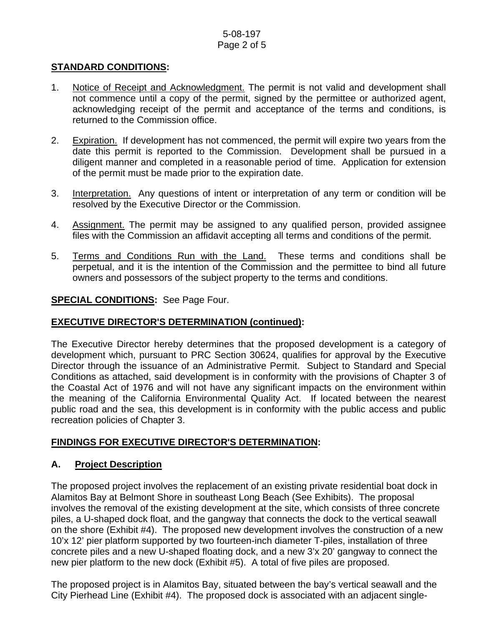#### 5-08-197 Page 2 of 5

#### **STANDARD CONDITIONS:**

- 1. Notice of Receipt and Acknowledgment. The permit is not valid and development shall not commence until a copy of the permit, signed by the permittee or authorized agent, acknowledging receipt of the permit and acceptance of the terms and conditions, is returned to the Commission office.
- 2. Expiration. If development has not commenced, the permit will expire two years from the date this permit is reported to the Commission. Development shall be pursued in a diligent manner and completed in a reasonable period of time. Application for extension of the permit must be made prior to the expiration date.
- 3. Interpretation. Any questions of intent or interpretation of any term or condition will be resolved by the Executive Director or the Commission.
- 4. Assignment. The permit may be assigned to any qualified person, provided assignee files with the Commission an affidavit accepting all terms and conditions of the permit.
- 5. Terms and Conditions Run with the Land. These terms and conditions shall be perpetual, and it is the intention of the Commission and the permittee to bind all future owners and possessors of the subject property to the terms and conditions.

#### **SPECIAL CONDITIONS:** See Page Four.

#### **EXECUTIVE DIRECTOR'S DETERMINATION (continued):**

The Executive Director hereby determines that the proposed development is a category of development which, pursuant to PRC Section 30624, qualifies for approval by the Executive Director through the issuance of an Administrative Permit. Subject to Standard and Special Conditions as attached, said development is in conformity with the provisions of Chapter 3 of the Coastal Act of 1976 and will not have any significant impacts on the environment within the meaning of the California Environmental Quality Act. If located between the nearest public road and the sea, this development is in conformity with the public access and public recreation policies of Chapter 3.

#### **FINDINGS FOR EXECUTIVE DIRECTOR'S DETERMINATION:**

#### **A. Project Description**

The proposed project involves the replacement of an existing private residential boat dock in Alamitos Bay at Belmont Shore in southeast Long Beach (See Exhibits). The proposal involves the removal of the existing development at the site, which consists of three concrete piles, a U-shaped dock float, and the gangway that connects the dock to the vertical seawall on the shore (Exhibit #4). The proposed new development involves the construction of a new 10'x 12' pier platform supported by two fourteen-inch diameter T-piles, installation of three concrete piles and a new U-shaped floating dock, and a new 3'x 20' gangway to connect the new pier platform to the new dock (Exhibit #5). A total of five piles are proposed.

The proposed project is in Alamitos Bay, situated between the bay's vertical seawall and the City Pierhead Line (Exhibit #4). The proposed dock is associated with an adjacent single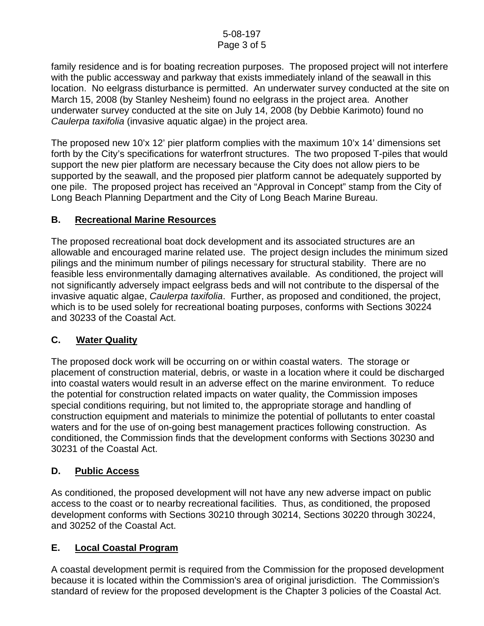family residence and is for boating recreation purposes. The proposed project will not interfere with the public accessway and parkway that exists immediately inland of the seawall in this location. No eelgrass disturbance is permitted. An underwater survey conducted at the site on March 15, 2008 (by Stanley Nesheim) found no eelgrass in the project area. Another underwater survey conducted at the site on July 14, 2008 (by Debbie Karimoto) found no *Caulerpa taxifolia* (invasive aquatic algae) in the project area.

The proposed new 10'x 12' pier platform complies with the maximum 10'x 14' dimensions set forth by the City's specifications for waterfront structures. The two proposed T-piles that would support the new pier platform are necessary because the City does not allow piers to be supported by the seawall, and the proposed pier platform cannot be adequately supported by one pile. The proposed project has received an "Approval in Concept" stamp from the City of Long Beach Planning Department and the City of Long Beach Marine Bureau.

#### **B. Recreational Marine Resources**

The proposed recreational boat dock development and its associated structures are an allowable and encouraged marine related use. The project design includes the minimum sized pilings and the minimum number of pilings necessary for structural stability. There are no feasible less environmentally damaging alternatives available. As conditioned, the project will not significantly adversely impact eelgrass beds and will not contribute to the dispersal of the invasive aquatic algae, *Caulerpa taxifolia*. Further, as proposed and conditioned, the project, which is to be used solely for recreational boating purposes, conforms with Sections 30224 and 30233 of the Coastal Act.

#### **C. Water Quality**

The proposed dock work will be occurring on or within coastal waters. The storage or placement of construction material, debris, or waste in a location where it could be discharged into coastal waters would result in an adverse effect on the marine environment. To reduce the potential for construction related impacts on water quality, the Commission imposes special conditions requiring, but not limited to, the appropriate storage and handling of construction equipment and materials to minimize the potential of pollutants to enter coastal waters and for the use of on-going best management practices following construction. As conditioned, the Commission finds that the development conforms with Sections 30230 and 30231 of the Coastal Act.

#### **D. Public Access**

As conditioned, the proposed development will not have any new adverse impact on public access to the coast or to nearby recreational facilities. Thus, as conditioned, the proposed development conforms with Sections 30210 through 30214, Sections 30220 through 30224, and 30252 of the Coastal Act.

# **E. Local Coastal Program**

A coastal development permit is required from the Commission for the proposed development because it is located within the Commission's area of original jurisdiction. The Commission's standard of review for the proposed development is the Chapter 3 policies of the Coastal Act.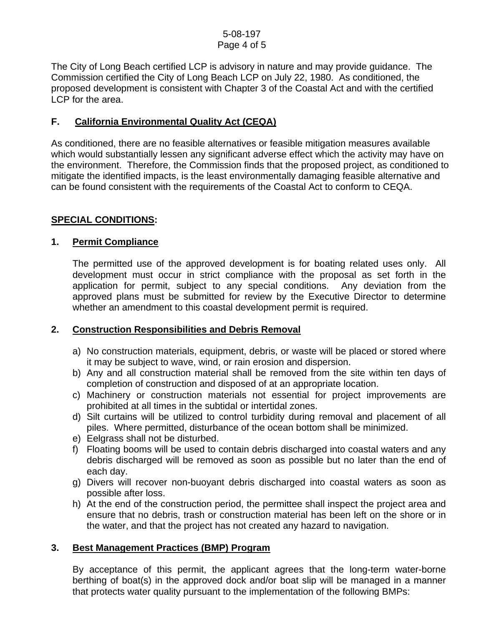The City of Long Beach certified LCP is advisory in nature and may provide guidance. The Commission certified the City of Long Beach LCP on July 22, 1980. As conditioned, the proposed development is consistent with Chapter 3 of the Coastal Act and with the certified LCP for the area.

#### **F. California Environmental Quality Act (CEQA)**

As conditioned, there are no feasible alternatives or feasible mitigation measures available which would substantially lessen any significant adverse effect which the activity may have on the environment. Therefore, the Commission finds that the proposed project, as conditioned to mitigate the identified impacts, is the least environmentally damaging feasible alternative and can be found consistent with the requirements of the Coastal Act to conform to CEQA.

#### **SPECIAL CONDITIONS:**

#### **1. Permit Compliance**

 The permitted use of the approved development is for boating related uses only. All development must occur in strict compliance with the proposal as set forth in the application for permit, subject to any special conditions. Any deviation from the approved plans must be submitted for review by the Executive Director to determine whether an amendment to this coastal development permit is required.

# **2. Construction Responsibilities and Debris Removal**

- a) No construction materials, equipment, debris, or waste will be placed or stored where it may be subject to wave, wind, or rain erosion and dispersion.
- b) Any and all construction material shall be removed from the site within ten days of completion of construction and disposed of at an appropriate location.
- c) Machinery or construction materials not essential for project improvements are prohibited at all times in the subtidal or intertidal zones.
- d) Silt curtains will be utilized to control turbidity during removal and placement of all piles. Where permitted, disturbance of the ocean bottom shall be minimized.
- e) Eelgrass shall not be disturbed.
- f) Floating booms will be used to contain debris discharged into coastal waters and any debris discharged will be removed as soon as possible but no later than the end of each day.
- g) Divers will recover non-buoyant debris discharged into coastal waters as soon as possible after loss.
- h) At the end of the construction period, the permittee shall inspect the project area and ensure that no debris, trash or construction material has been left on the shore or in the water, and that the project has not created any hazard to navigation.

#### **3. Best Management Practices (BMP) Program**

By acceptance of this permit, the applicant agrees that the long-term water-borne berthing of boat(s) in the approved dock and/or boat slip will be managed in a manner that protects water quality pursuant to the implementation of the following BMPs: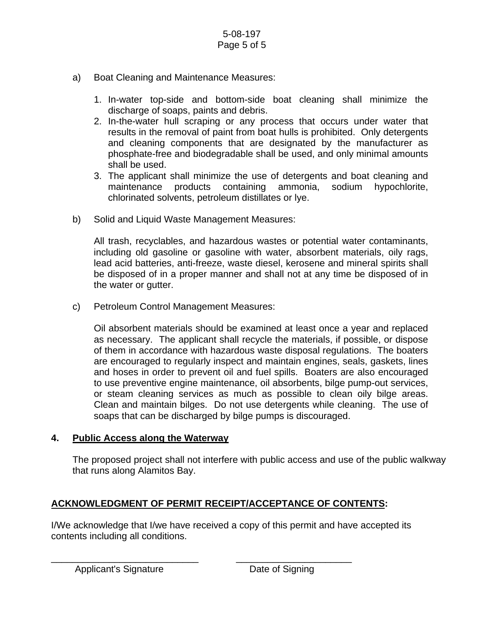- a) Boat Cleaning and Maintenance Measures:
	- 1. In-water top-side and bottom-side boat cleaning shall minimize the discharge of soaps, paints and debris.
	- 2. In-the-water hull scraping or any process that occurs under water that results in the removal of paint from boat hulls is prohibited. Only detergents and cleaning components that are designated by the manufacturer as phosphate-free and biodegradable shall be used, and only minimal amounts shall be used.
	- 3. The applicant shall minimize the use of detergents and boat cleaning and maintenance products containing ammonia, sodium hypochlorite, chlorinated solvents, petroleum distillates or lye.
- b) Solid and Liquid Waste Management Measures:

All trash, recyclables, and hazardous wastes or potential water contaminants, including old gasoline or gasoline with water, absorbent materials, oily rags, lead acid batteries, anti-freeze, waste diesel, kerosene and mineral spirits shall be disposed of in a proper manner and shall not at any time be disposed of in the water or gutter.

c) Petroleum Control Management Measures:

Oil absorbent materials should be examined at least once a year and replaced as necessary. The applicant shall recycle the materials, if possible, or dispose of them in accordance with hazardous waste disposal regulations. The boaters are encouraged to regularly inspect and maintain engines, seals, gaskets, lines and hoses in order to prevent oil and fuel spills. Boaters are also encouraged to use preventive engine maintenance, oil absorbents, bilge pump-out services, or steam cleaning services as much as possible to clean oily bilge areas. Clean and maintain bilges. Do not use detergents while cleaning. The use of soaps that can be discharged by bilge pumps is discouraged.

#### **4. Public Access along the Waterway**

The proposed project shall not interfere with public access and use of the public walkway that runs along Alamitos Bay.

# **ACKNOWLEDGMENT OF PERMIT RECEIPT/ACCEPTANCE OF CONTENTS:**

\_\_\_\_\_\_\_\_\_\_\_\_\_\_\_\_\_\_\_\_\_\_\_\_\_\_\_\_ \_\_\_\_\_\_\_\_\_\_\_\_\_\_\_\_\_\_\_\_\_\_

I/We acknowledge that I/we have received a copy of this permit and have accepted its contents including all conditions.

Applicant's Signature **Date of Signing**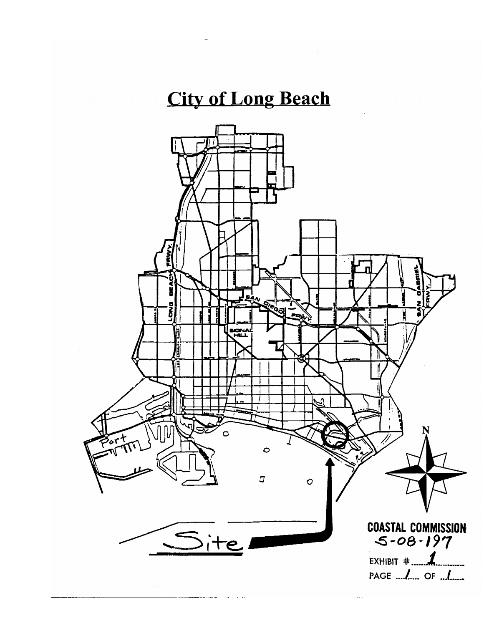# **City of Long Beach**

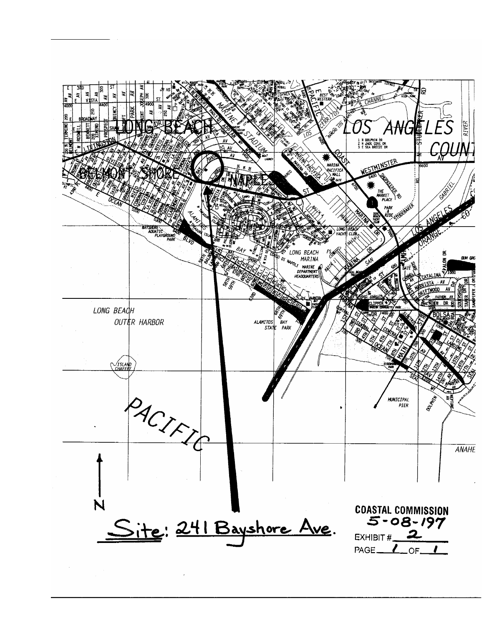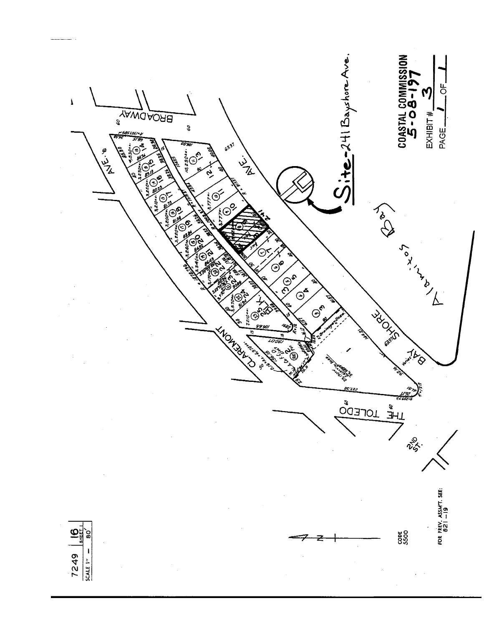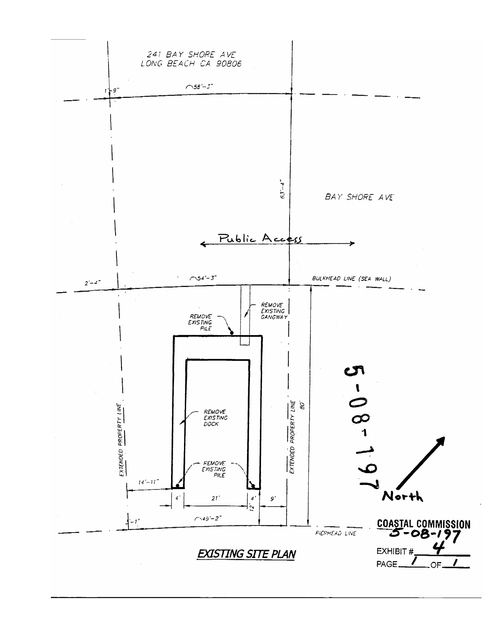